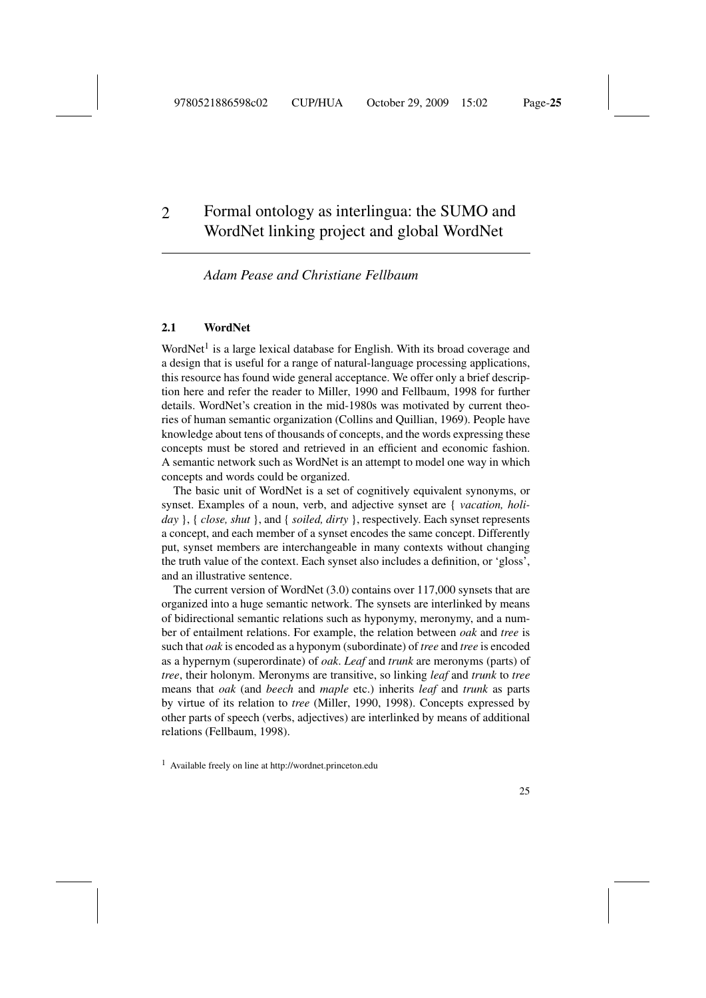# 2 Formal ontology as interlingua: the SUMO and WordNet linking project and global WordNet

# *Adam Pease and Christiane Fellbaum*

# **2.1 WordNet**

WordNet<sup>1</sup> is a large lexical database for English. With its broad coverage and a design that is useful for a range of natural-language processing applications, this resource has found wide general acceptance. We offer only a brief description here and refer the reader to Miller, 1990 and Fellbaum, 1998 for further details. WordNet's creation in the mid-1980s was motivated by current theories of human semantic organization (Collins and Quillian, 1969). People have knowledge about tens of thousands of concepts, and the words expressing these concepts must be stored and retrieved in an efficient and economic fashion. A semantic network such as WordNet is an attempt to model one way in which concepts and words could be organized.

The basic unit of WordNet is a set of cognitively equivalent synonyms, or synset. Examples of a noun, verb, and adjective synset are { *vacation, holiday* }, { *close, shut* }, and { *soiled, dirty* }, respectively. Each synset represents a concept, and each member of a synset encodes the same concept. Differently put, synset members are interchangeable in many contexts without changing the truth value of the context. Each synset also includes a definition, or 'gloss', and an illustrative sentence.

The current version of WordNet (3.0) contains over 117,000 synsets that are organized into a huge semantic network. The synsets are interlinked by means of bidirectional semantic relations such as hyponymy, meronymy, and a number of entailment relations. For example, the relation between *oak* and *tree* is such that *oak* is encoded as a hyponym (subordinate) of *tree* and *tree* is encoded as a hypernym (superordinate) of *oak*. *Leaf* and *trunk* are meronyms (parts) of *tree*, their holonym. Meronyms are transitive, so linking *leaf* and *trunk* to *tree* means that *oak* (and *beech* and *maple* etc.) inherits *leaf* and *trunk* as parts by virtue of its relation to *tree* (Miller, 1990, 1998). Concepts expressed by other parts of speech (verbs, adjectives) are interlinked by means of additional relations (Fellbaum, 1998).



<sup>1</sup> Available freely on line at http://wordnet.princeton.edu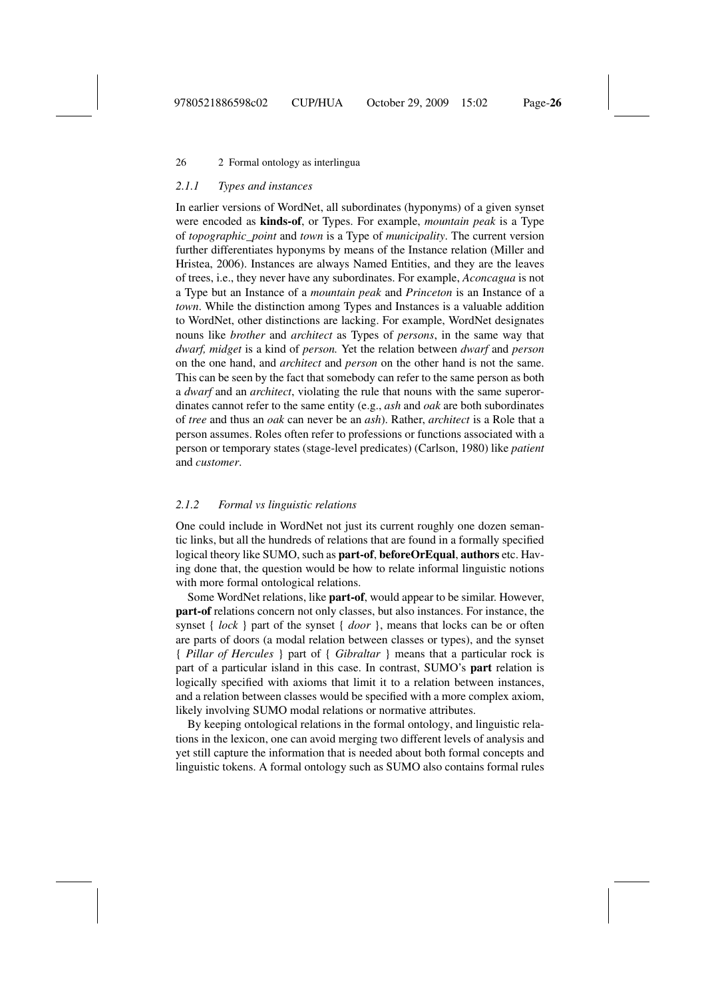#### *2.1.1 Types and instances*

In earlier versions of WordNet, all subordinates (hyponyms) of a given synset were encoded as **kinds-of**, or Types. For example, *mountain peak* is a Type of *topographic\_point* and *town* is a Type of *municipality*. The current version further differentiates hyponyms by means of the Instance relation (Miller and Hristea, 2006). Instances are always Named Entities, and they are the leaves of trees, i.e., they never have any subordinates. For example, *Aconcagua* is not a Type but an Instance of a *mountain peak* and *Princeton* is an Instance of a *town*. While the distinction among Types and Instances is a valuable addition to WordNet, other distinctions are lacking. For example, WordNet designates nouns like *brother* and *architect* as Types of *persons*, in the same way that *dwarf, midget* is a kind of *person.* Yet the relation between *dwarf* and *person* on the one hand, and *architect* and *person* on the other hand is not the same. This can be seen by the fact that somebody can refer to the same person as both a *dwarf* and an *architect*, violating the rule that nouns with the same superordinates cannot refer to the same entity (e.g., *ash* and *oak* are both subordinates of *tree* and thus an *oak* can never be an *ash*). Rather, *architect* is a Role that a person assumes. Roles often refer to professions or functions associated with a person or temporary states (stage-level predicates) (Carlson, 1980) like *patient* and *customer*.

#### *2.1.2 Formal vs linguistic relations*

One could include in WordNet not just its current roughly one dozen semantic links, but all the hundreds of relations that are found in a formally specified logical theory like SUMO, such as **part-of**, **beforeOrEqual**, **authors** etc. Having done that, the question would be how to relate informal linguistic notions with more formal ontological relations.

Some WordNet relations, like **part-of**, would appear to be similar. However, **part-of** relations concern not only classes, but also instances. For instance, the synset { *lock* } part of the synset { *door* }, means that locks can be or often are parts of doors (a modal relation between classes or types), and the synset { *Pillar of Hercules* } part of { *Gibraltar* } means that a particular rock is part of a particular island in this case. In contrast, SUMO's **part** relation is logically specified with axioms that limit it to a relation between instances, and a relation between classes would be specified with a more complex axiom, likely involving SUMO modal relations or normative attributes.

By keeping ontological relations in the formal ontology, and linguistic relations in the lexicon, one can avoid merging two different levels of analysis and yet still capture the information that is needed about both formal concepts and linguistic tokens. A formal ontology such as SUMO also contains formal rules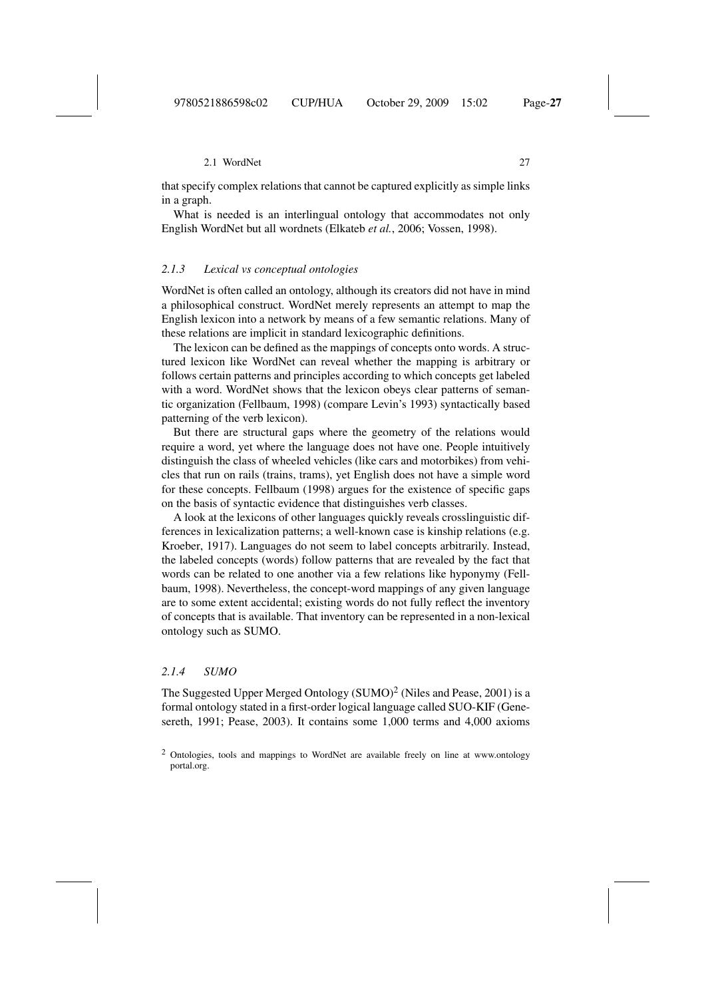that specify complex relations that cannot be captured explicitly as simple links in a graph.

What is needed is an interlingual ontology that accommodates not only English WordNet but all wordnets (Elkateb *et al.*, 2006; Vossen, 1998).

# *2.1.3 Lexical vs conceptual ontologies*

WordNet is often called an ontology, although its creators did not have in mind a philosophical construct. WordNet merely represents an attempt to map the English lexicon into a network by means of a few semantic relations. Many of these relations are implicit in standard lexicographic definitions.

The lexicon can be defined as the mappings of concepts onto words. A structured lexicon like WordNet can reveal whether the mapping is arbitrary or follows certain patterns and principles according to which concepts get labeled with a word. WordNet shows that the lexicon obeys clear patterns of semantic organization (Fellbaum, 1998) (compare Levin's 1993) syntactically based patterning of the verb lexicon).

But there are structural gaps where the geometry of the relations would require a word, yet where the language does not have one. People intuitively distinguish the class of wheeled vehicles (like cars and motorbikes) from vehicles that run on rails (trains, trams), yet English does not have a simple word for these concepts. Fellbaum (1998) argues for the existence of specific gaps on the basis of syntactic evidence that distinguishes verb classes.

A look at the lexicons of other languages quickly reveals crosslinguistic differences in lexicalization patterns; a well-known case is kinship relations (e.g. Kroeber, 1917). Languages do not seem to label concepts arbitrarily. Instead, the labeled concepts (words) follow patterns that are revealed by the fact that words can be related to one another via a few relations like hyponymy (Fellbaum, 1998). Nevertheless, the concept-word mappings of any given language are to some extent accidental; existing words do not fully reflect the inventory of concepts that is available. That inventory can be represented in a non-lexical ontology such as SUMO.

#### *2.1.4 SUMO*

The Suggested Upper Merged Ontology (SUMO)<sup>2</sup> (Niles and Pease, 2001) is a formal ontology stated in a first-order logical language called SUO-KIF (Genesereth, 1991; Pease, 2003). It contains some 1,000 terms and 4,000 axioms

<sup>&</sup>lt;sup>2</sup> Ontologies, tools and mappings to WordNet are available freely on line at www.ontology portal.org.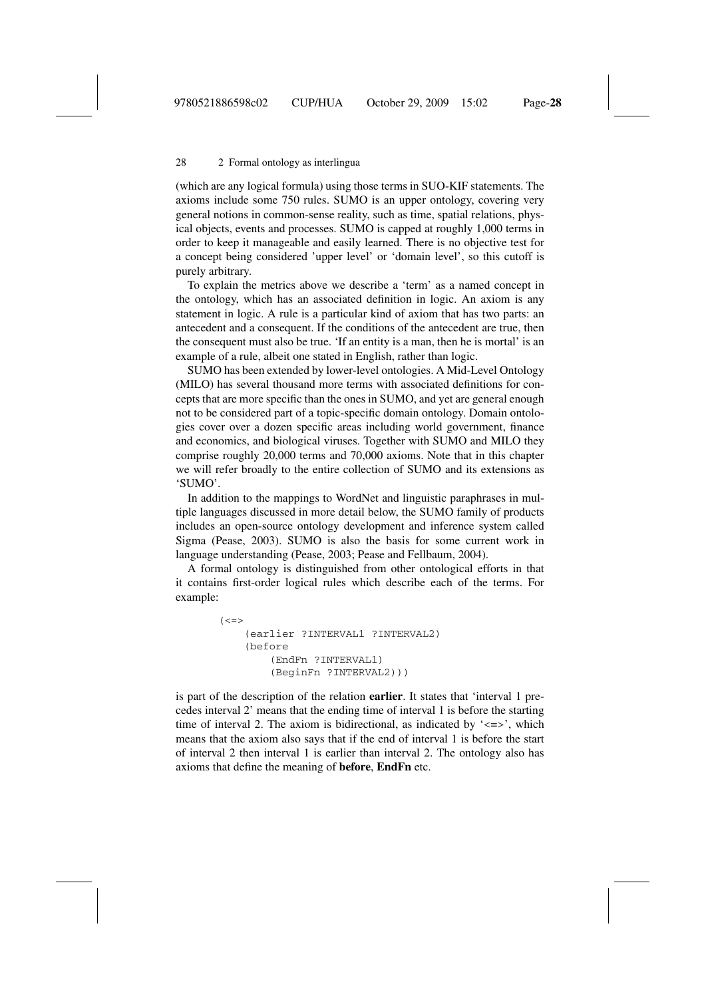(which are any logical formula) using those terms in SUO-KIF statements. The axioms include some 750 rules. SUMO is an upper ontology, covering very general notions in common-sense reality, such as time, spatial relations, physical objects, events and processes. SUMO is capped at roughly 1,000 terms in order to keep it manageable and easily learned. There is no objective test for a concept being considered 'upper level' or 'domain level', so this cutoff is purely arbitrary.

To explain the metrics above we describe a 'term' as a named concept in the ontology, which has an associated definition in logic. An axiom is any statement in logic. A rule is a particular kind of axiom that has two parts: an antecedent and a consequent. If the conditions of the antecedent are true, then the consequent must also be true. 'If an entity is a man, then he is mortal' is an example of a rule, albeit one stated in English, rather than logic.

SUMO has been extended by lower-level ontologies. A Mid-Level Ontology (MILO) has several thousand more terms with associated definitions for concepts that are more specific than the ones in SUMO, and yet are general enough not to be considered part of a topic-specific domain ontology. Domain ontologies cover over a dozen specific areas including world government, finance and economics, and biological viruses. Together with SUMO and MILO they comprise roughly 20,000 terms and 70,000 axioms. Note that in this chapter we will refer broadly to the entire collection of SUMO and its extensions as 'SUMO'.

In addition to the mappings to WordNet and linguistic paraphrases in multiple languages discussed in more detail below, the SUMO family of products includes an open-source ontology development and inference system called Sigma (Pease, 2003). SUMO is also the basis for some current work in language understanding (Pease, 2003; Pease and Fellbaum, 2004).

A formal ontology is distinguished from other ontological efforts in that it contains first-order logical rules which describe each of the terms. For example:

```
( < = >(earlier ?INTERVAL1 ?INTERVAL2)
    (before
        (EndFn ?INTERVAL1)
        (BeginFn ?INTERVAL2)))
```
is part of the description of the relation **earlier**. It states that 'interval 1 precedes interval 2' means that the ending time of interval 1 is before the starting time of interval 2. The axiom is bidirectional, as indicated by  $\leq$  =>', which means that the axiom also says that if the end of interval 1 is before the start of interval 2 then interval 1 is earlier than interval 2. The ontology also has axioms that define the meaning of **before**, **EndFn** etc.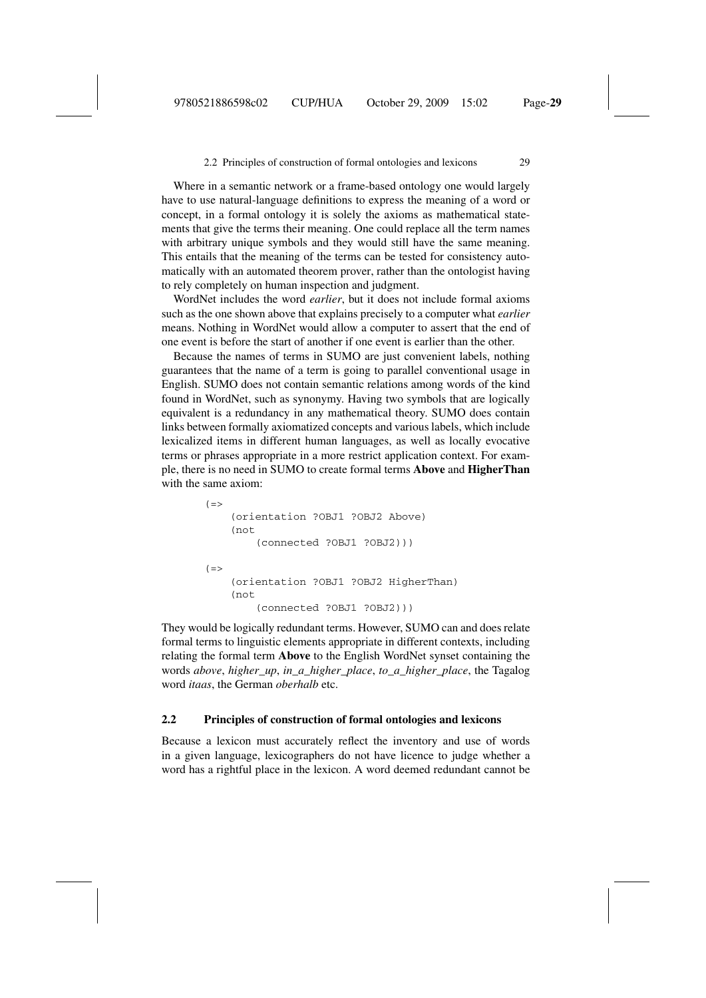Where in a semantic network or a frame-based ontology one would largely have to use natural-language definitions to express the meaning of a word or concept, in a formal ontology it is solely the axioms as mathematical statements that give the terms their meaning. One could replace all the term names with arbitrary unique symbols and they would still have the same meaning. This entails that the meaning of the terms can be tested for consistency automatically with an automated theorem prover, rather than the ontologist having to rely completely on human inspection and judgment.

WordNet includes the word *earlier*, but it does not include formal axioms such as the one shown above that explains precisely to a computer what *earlier* means. Nothing in WordNet would allow a computer to assert that the end of one event is before the start of another if one event is earlier than the other.

Because the names of terms in SUMO are just convenient labels, nothing guarantees that the name of a term is going to parallel conventional usage in English. SUMO does not contain semantic relations among words of the kind found in WordNet, such as synonymy. Having two symbols that are logically equivalent is a redundancy in any mathematical theory. SUMO does contain links between formally axiomatized concepts and various labels, which include lexicalized items in different human languages, as well as locally evocative terms or phrases appropriate in a more restrict application context. For example, there is no need in SUMO to create formal terms **Above** and **HigherThan** with the same axiom:

```
(=>
    (orientation ?OBJ1 ?OBJ2 Above)
    (not
        (connected ?OBJ1 ?OBJ2)))
(=)(orientation ?OBJ1 ?OBJ2 HigherThan)
    (not
        (connected ?OBJ1 ?OBJ2)))
```
They would be logically redundant terms. However, SUMO can and does relate formal terms to linguistic elements appropriate in different contexts, including relating the formal term **Above** to the English WordNet synset containing the words *above*, *higher\_up*, *in\_a\_higher\_place*, *to\_a\_higher\_place*, the Tagalog word *itaas*, the German *oberhalb* etc.

# **2.2 Principles of construction of formal ontologies and lexicons**

Because a lexicon must accurately reflect the inventory and use of words in a given language, lexicographers do not have licence to judge whether a word has a rightful place in the lexicon. A word deemed redundant cannot be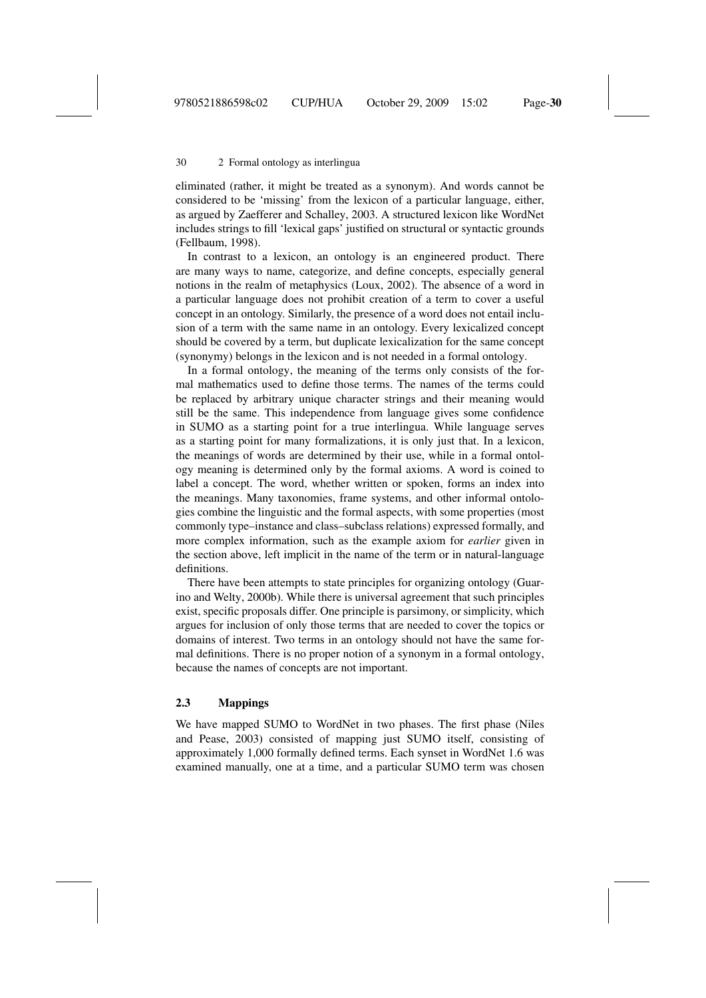eliminated (rather, it might be treated as a synonym). And words cannot be considered to be 'missing' from the lexicon of a particular language, either, as argued by Zaefferer and Schalley, 2003. A structured lexicon like WordNet includes strings to fill 'lexical gaps' justified on structural or syntactic grounds (Fellbaum, 1998).

In contrast to a lexicon, an ontology is an engineered product. There are many ways to name, categorize, and define concepts, especially general notions in the realm of metaphysics (Loux, 2002). The absence of a word in a particular language does not prohibit creation of a term to cover a useful concept in an ontology. Similarly, the presence of a word does not entail inclusion of a term with the same name in an ontology. Every lexicalized concept should be covered by a term, but duplicate lexicalization for the same concept (synonymy) belongs in the lexicon and is not needed in a formal ontology.

In a formal ontology, the meaning of the terms only consists of the formal mathematics used to define those terms. The names of the terms could be replaced by arbitrary unique character strings and their meaning would still be the same. This independence from language gives some confidence in SUMO as a starting point for a true interlingua. While language serves as a starting point for many formalizations, it is only just that. In a lexicon, the meanings of words are determined by their use, while in a formal ontology meaning is determined only by the formal axioms. A word is coined to label a concept. The word, whether written or spoken, forms an index into the meanings. Many taxonomies, frame systems, and other informal ontologies combine the linguistic and the formal aspects, with some properties (most commonly type–instance and class–subclass relations) expressed formally, and more complex information, such as the example axiom for *earlier* given in the section above, left implicit in the name of the term or in natural-language definitions.

There have been attempts to state principles for organizing ontology (Guarino and Welty, 2000b). While there is universal agreement that such principles exist, specific proposals differ. One principle is parsimony, or simplicity, which argues for inclusion of only those terms that are needed to cover the topics or domains of interest. Two terms in an ontology should not have the same formal definitions. There is no proper notion of a synonym in a formal ontology, because the names of concepts are not important.

# **2.3 Mappings**

We have mapped SUMO to WordNet in two phases. The first phase (Niles and Pease, 2003) consisted of mapping just SUMO itself, consisting of approximately 1,000 formally defined terms. Each synset in WordNet 1.6 was examined manually, one at a time, and a particular SUMO term was chosen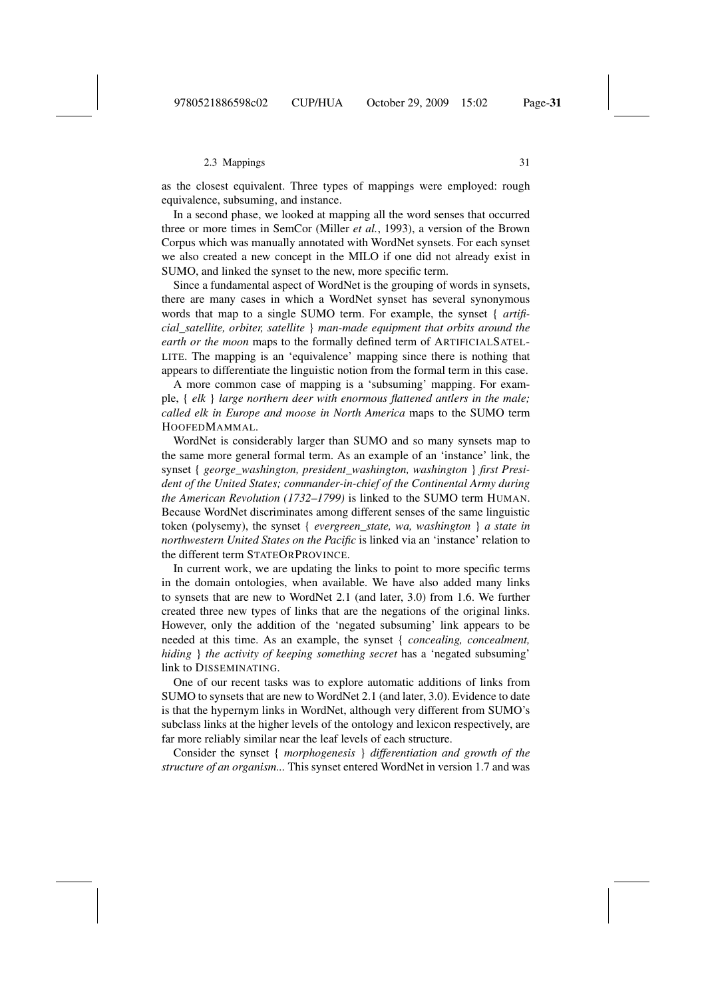as the closest equivalent. Three types of mappings were employed: rough equivalence, subsuming, and instance.

In a second phase, we looked at mapping all the word senses that occurred three or more times in SemCor (Miller *et al.*, 1993), a version of the Brown Corpus which was manually annotated with WordNet synsets. For each synset we also created a new concept in the MILO if one did not already exist in SUMO, and linked the synset to the new, more specific term.

Since a fundamental aspect of WordNet is the grouping of words in synsets, there are many cases in which a WordNet synset has several synonymous words that map to a single SUMO term. For example, the synset { *artificial\_satellite, orbiter, satellite* } *man-made equipment that orbits around the earth or the moon* maps to the formally defined term of ARTIFICIALSATEL-LITE. The mapping is an 'equivalence' mapping since there is nothing that appears to differentiate the linguistic notion from the formal term in this case.

A more common case of mapping is a 'subsuming' mapping. For example, { *elk* } *large northern deer with enormous flattened antlers in the male; called elk in Europe and moose in North America* maps to the SUMO term HOOFEDMAMMAL.

WordNet is considerably larger than SUMO and so many synsets map to the same more general formal term. As an example of an 'instance' link, the synset { *george\_washington, president\_washington, washington* } *first President of the United States; commander-in-chief of the Continental Army during the American Revolution (1732–1799)* is linked to the SUMO term HUMAN. Because WordNet discriminates among different senses of the same linguistic token (polysemy), the synset { *evergreen\_state, wa, washington* } *a state in northwestern United States on the Pacific* is linked via an 'instance' relation to the different term STATEORPROVINCE.

In current work, we are updating the links to point to more specific terms in the domain ontologies, when available. We have also added many links to synsets that are new to WordNet 2.1 (and later, 3.0) from 1.6. We further created three new types of links that are the negations of the original links. However, only the addition of the 'negated subsuming' link appears to be needed at this time. As an example, the synset { *concealing, concealment, hiding* } *the activity of keeping something secret* has a 'negated subsuming' link to DISSEMINATING.

One of our recent tasks was to explore automatic additions of links from SUMO to synsets that are new to WordNet 2.1 (and later, 3.0). Evidence to date is that the hypernym links in WordNet, although very different from SUMO's subclass links at the higher levels of the ontology and lexicon respectively, are far more reliably similar near the leaf levels of each structure.

Consider the synset { *morphogenesis* } *differentiation and growth of the structure of an organism...* This synset entered WordNet in version 1.7 and was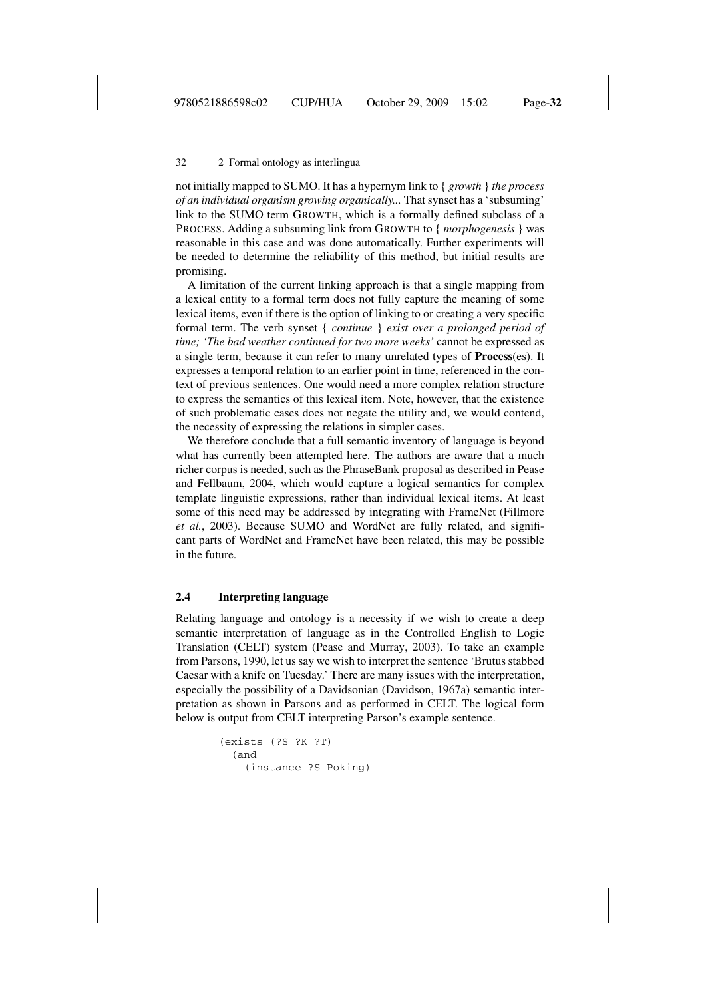not initially mapped to SUMO. It has a hypernym link to { *growth* } *the process of an individual organism growing organically...* That synset has a 'subsuming' link to the SUMO term GROWTH, which is a formally defined subclass of a PROCESS. Adding a subsuming link from GROWTH to { *morphogenesis* } was reasonable in this case and was done automatically. Further experiments will be needed to determine the reliability of this method, but initial results are promising.

A limitation of the current linking approach is that a single mapping from a lexical entity to a formal term does not fully capture the meaning of some lexical items, even if there is the option of linking to or creating a very specific formal term. The verb synset { *continue* } *exist over a prolonged period of time; 'The bad weather continued for two more weeks'* cannot be expressed as a single term, because it can refer to many unrelated types of **Process**(es). It expresses a temporal relation to an earlier point in time, referenced in the context of previous sentences. One would need a more complex relation structure to express the semantics of this lexical item. Note, however, that the existence of such problematic cases does not negate the utility and, we would contend, the necessity of expressing the relations in simpler cases.

We therefore conclude that a full semantic inventory of language is beyond what has currently been attempted here. The authors are aware that a much richer corpus is needed, such as the PhraseBank proposal as described in Pease and Fellbaum, 2004, which would capture a logical semantics for complex template linguistic expressions, rather than individual lexical items. At least some of this need may be addressed by integrating with FrameNet (Fillmore *et al.*, 2003). Because SUMO and WordNet are fully related, and significant parts of WordNet and FrameNet have been related, this may be possible in the future.

### **2.4 Interpreting language**

Relating language and ontology is a necessity if we wish to create a deep semantic interpretation of language as in the Controlled English to Logic Translation (CELT) system (Pease and Murray, 2003). To take an example from Parsons, 1990, let us say we wish to interpret the sentence 'Brutus stabbed Caesar with a knife on Tuesday.' There are many issues with the interpretation, especially the possibility of a Davidsonian (Davidson, 1967a) semantic interpretation as shown in Parsons and as performed in CELT. The logical form below is output from CELT interpreting Parson's example sentence.

```
(exists (?S ?K ?T)
  (and
    (instance ?S Poking)
```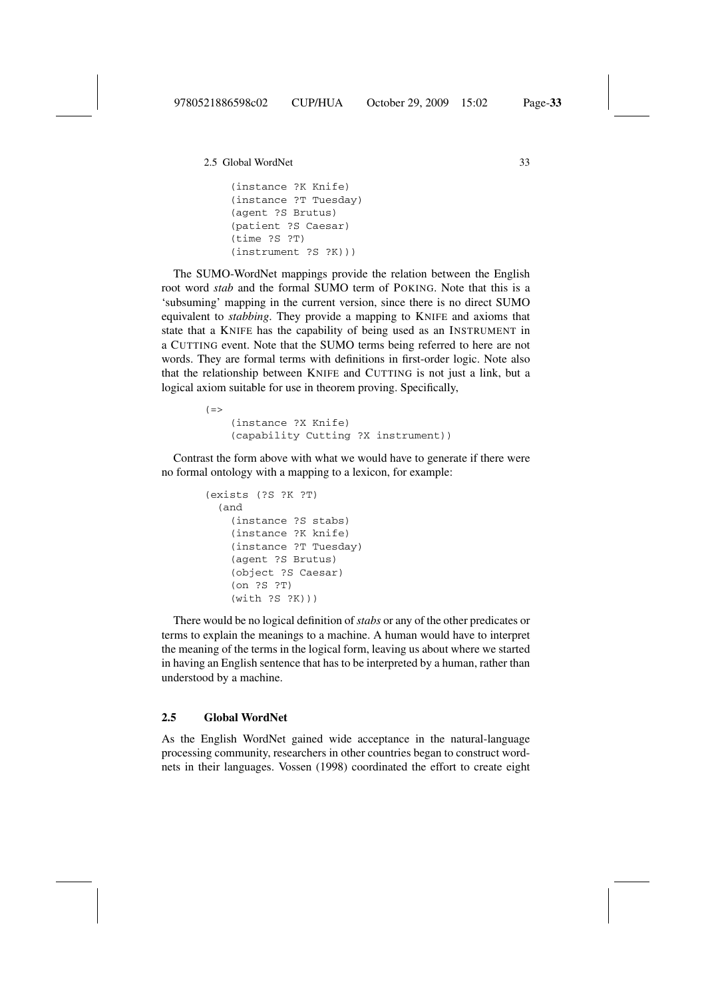2.5 Global WordNet 33

```
(instance ?K Knife)
(instance ?T Tuesday)
(agent ?S Brutus)
(patient ?S Caesar)
(time ?S ?T)
(instrument ?S ?K)))
```
The SUMO-WordNet mappings provide the relation between the English root word *stab* and the formal SUMO term of POKING. Note that this is a 'subsuming' mapping in the current version, since there is no direct SUMO equivalent to *stabbing*. They provide a mapping to KNIFE and axioms that state that a KNIFE has the capability of being used as an INSTRUMENT in a CUTTING event. Note that the SUMO terms being referred to here are not words. They are formal terms with definitions in first-order logic. Note also that the relationship between KNIFE and CUTTING is not just a link, but a logical axiom suitable for use in theorem proving. Specifically,

```
(=(instance ?X Knife)
   (capability Cutting ?X instrument))
```
Contrast the form above with what we would have to generate if there were no formal ontology with a mapping to a lexicon, for example:

```
(exists (?S ?K ?T)
  (and
    (instance ?S stabs)
    (instance ?K knife)
    (instance ?T Tuesday)
    (agent ?S Brutus)
    (object ?S Caesar)
    (on ?S ?T)
    (with ?S ?K)))
```
There would be no logical definition of *stabs* or any of the other predicates or terms to explain the meanings to a machine. A human would have to interpret the meaning of the terms in the logical form, leaving us about where we started in having an English sentence that has to be interpreted by a human, rather than understood by a machine.

#### **2.5 Global WordNet**

As the English WordNet gained wide acceptance in the natural-language processing community, researchers in other countries began to construct wordnets in their languages. Vossen (1998) coordinated the effort to create eight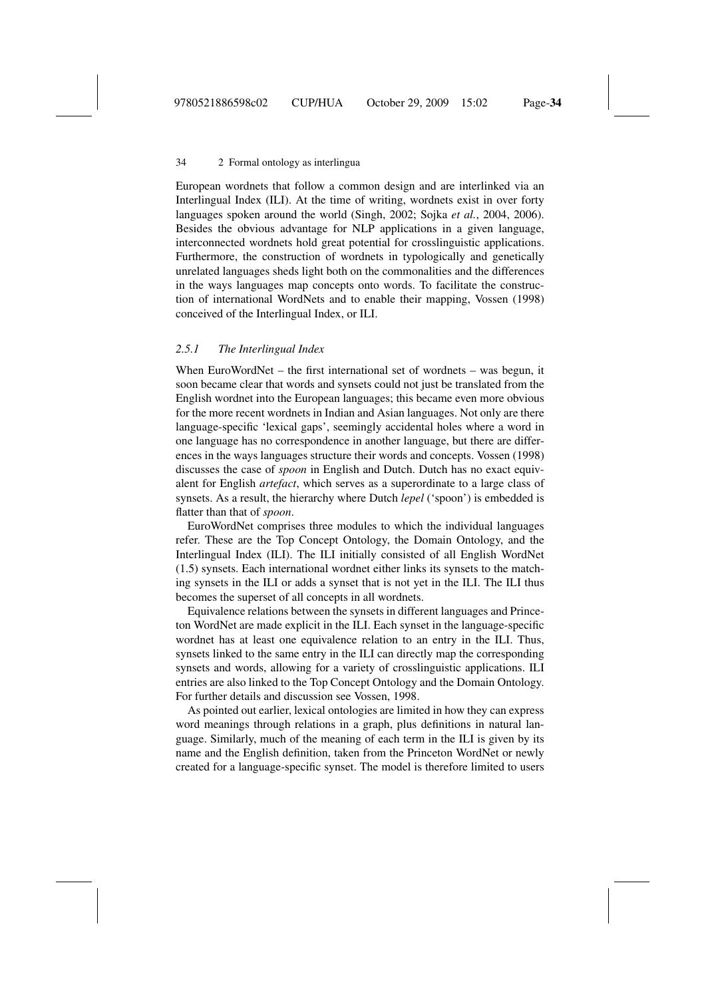European wordnets that follow a common design and are interlinked via an Interlingual Index (ILI). At the time of writing, wordnets exist in over forty languages spoken around the world (Singh, 2002; Sojka *et al.*, 2004, 2006). Besides the obvious advantage for NLP applications in a given language, interconnected wordnets hold great potential for crosslinguistic applications. Furthermore, the construction of wordnets in typologically and genetically unrelated languages sheds light both on the commonalities and the differences in the ways languages map concepts onto words. To facilitate the construction of international WordNets and to enable their mapping, Vossen (1998) conceived of the Interlingual Index, or ILI.

## *2.5.1 The Interlingual Index*

When EuroWordNet – the first international set of wordnets – was begun, it soon became clear that words and synsets could not just be translated from the English wordnet into the European languages; this became even more obvious for the more recent wordnets in Indian and Asian languages. Not only are there language-specific 'lexical gaps', seemingly accidental holes where a word in one language has no correspondence in another language, but there are differences in the ways languages structure their words and concepts. Vossen (1998) discusses the case of *spoon* in English and Dutch. Dutch has no exact equivalent for English *artefact*, which serves as a superordinate to a large class of synsets. As a result, the hierarchy where Dutch *lepel* ('spoon') is embedded is flatter than that of *spoon*.

EuroWordNet comprises three modules to which the individual languages refer. These are the Top Concept Ontology, the Domain Ontology, and the Interlingual Index (ILI). The ILI initially consisted of all English WordNet (1.5) synsets. Each international wordnet either links its synsets to the matching synsets in the ILI or adds a synset that is not yet in the ILI. The ILI thus becomes the superset of all concepts in all wordnets.

Equivalence relations between the synsets in different languages and Princeton WordNet are made explicit in the ILI. Each synset in the language-specific wordnet has at least one equivalence relation to an entry in the ILI. Thus, synsets linked to the same entry in the ILI can directly map the corresponding synsets and words, allowing for a variety of crosslinguistic applications. ILI entries are also linked to the Top Concept Ontology and the Domain Ontology. For further details and discussion see Vossen, 1998.

As pointed out earlier, lexical ontologies are limited in how they can express word meanings through relations in a graph, plus definitions in natural language. Similarly, much of the meaning of each term in the ILI is given by its name and the English definition, taken from the Princeton WordNet or newly created for a language-specific synset. The model is therefore limited to users